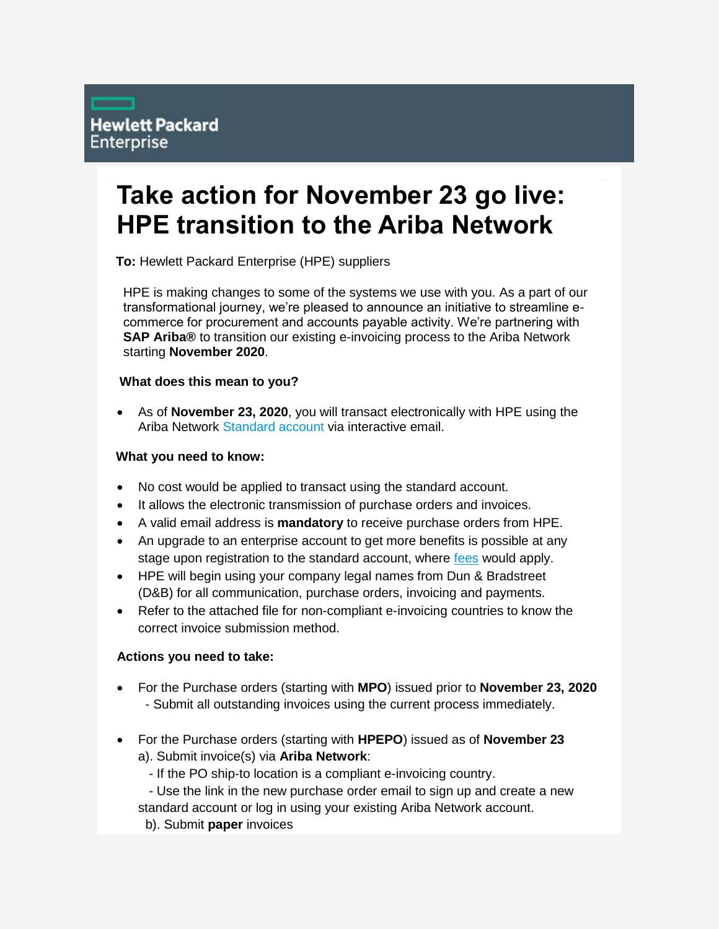# **Take action for November 23 go live: HPE transition to the Ariba Network**

**To:** Hewlett Packard Enterprise (HPE) suppliers

HPE is making changes to some of the systems we use with you. As a part of our transformational journey, we're pleased to announce an initiative to streamline ecommerce for procurement and accounts payable activity. We're partnering with **SAP Ariba®** to transition our existing e-invoicing process to the Ariba Network starting **November 2020**.

### **What does this mean to you?**

 As of **November 23, 2020**, you will transact electronically with HPE using the Ariba Network [Standard account](http://www.ariba.com/go/ariba-network-light-account) via interactive email.

### **What you need to know:**

- No cost would be applied to transact using the standard account.
- It allows the electronic transmission of purchase orders and invoices.
- A valid email address is **mandatory** to receive purchase orders from HPE.
- An upgrade to an enterprise account to get more benefits is possible at any stage upon registration to the standard account, where [fees](https://www.ariba.com/ariba-network/ariba-network-for-suppliers/subscriptions-and-pricing) would apply.
- HPE will begin using your company legal names from Dun & Bradstreet (D&B) for all communication, purchase orders, invoicing and payments.
- Refer to the attached file for non-compliant e-invoicing countries to know the correct invoice submission method.

## **Actions you need to take:**

- For the Purchase orders (starting with **MPO**) issued prior to **November 23, 2020** - Submit all outstanding invoices using the current process immediately.
- For the Purchase orders (starting with **HPEPO**) issued as of **November 23** a). Submit invoice(s) via **Ariba Network**:

- If the PO ship-to location is a compliant e-invoicing country.

 - Use the link in the new purchase order email to sign up and create a new standard account or log in using your existing Ariba Network account.

b). Submit **paper** invoices